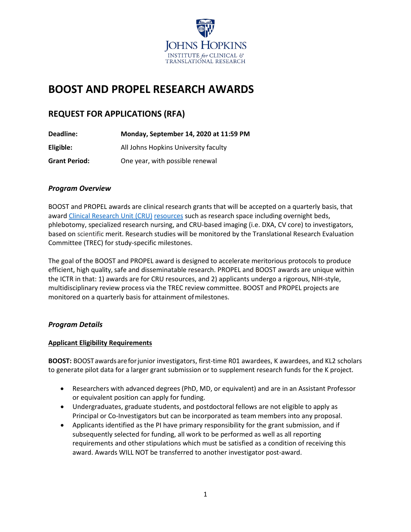

# **BOOST AND PROPEL RESEARCH AWARDS**

# **REQUEST FOR APPLICATIONS (RFA)**

| Deadline:            | Monday, September 14, 2020 at 11:59 PM |
|----------------------|----------------------------------------|
| Eligible:            | All Johns Hopkins University faculty   |
| <b>Grant Period:</b> | One year, with possible renewal        |

# *Program Overview*

BOOST and PROPEL awards are clinical research grants that will be accepted on a quarterly basis, that awar[d Clinical Research Unit \(CRU\)](https://ictr.johnshopkins.edu/programs_resources/programs-resources/clinical-research-units/) [resources](https://ictr.johnshopkins.edu/wp-content/uploads/FY20-Pricing-Template-Oct-2019.pdf) such as research space including overnight beds, phlebotomy, specialized research nursing, and CRU-based imaging (i.e. DXA, CV core) to investigators, based on scientific merit. Research studies will be monitored by the Translational Research Evaluation Committee (TREC) for study-specific milestones.

The goal of the BOOST and PROPEL award is designed to accelerate meritorious protocols to produce efficient, high quality, safe and disseminatable research. PROPEL and BOOST awards are unique within the ICTR in that: 1) awards are for CRU resources, and 2) applicants undergo a rigorous, NIH-style, multidisciplinary review process via the TREC review committee. BOOST and PROPEL projects are monitored on a quarterly basis for attainment ofmilestones.

## *Program Details*

## **Applicant Eligibility Requirements**

**BOOST:** BOOSTawardsareforjunior investigators, first-time R01 awardees, K awardees, and KL2 scholars to generate pilot data for a larger grant submission or to supplement research funds for the K project.

- Researchers with advanced degrees (PhD, MD, or equivalent) and are in an Assistant Professor or equivalent position can apply for funding.
- Undergraduates, graduate students, and postdoctoral fellows are not eligible to apply as Principal or Co-Investigators but can be incorporated as team members into any proposal.
- Applicants identified as the PI have primary responsibility for the grant submission, and if subsequently selected for funding, all work to be performed as well as all reporting requirements and other stipulations which must be satisfied as a condition of receiving this award. Awards WILL NOT be transferred to another investigator post-award.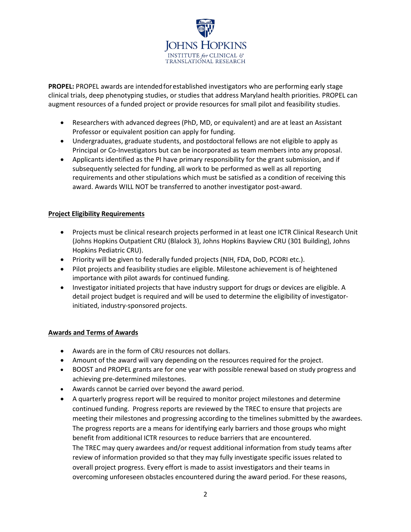

**PROPEL:** PROPEL awards are intendedforestablished investigators who are performing early stage clinical trials, deep phenotyping studies, or studies that address Maryland health priorities. PROPEL can augment resources of a funded project or provide resources for small pilot and feasibility studies.

- Researchers with advanced degrees (PhD, MD, or equivalent) and are at least an Assistant Professor or equivalent position can apply for funding.
- Undergraduates, graduate students, and postdoctoral fellows are not eligible to apply as Principal or Co-Investigators but can be incorporated as team members into any proposal.
- Applicants identified as the PI have primary responsibility for the grant submission, and if subsequently selected for funding, all work to be performed as well as all reporting requirements and other stipulations which must be satisfied as a condition of receiving this award. Awards WILL NOT be transferred to another investigator post-award.

#### **Project Eligibility Requirements**

- Projects must be clinical research projects performed in at least one ICTR Clinical Research Unit (Johns Hopkins Outpatient CRU (Blalock 3), Johns Hopkins Bayview CRU (301 Building), Johns Hopkins Pediatric CRU).
- Priority will be given to federally funded projects (NIH, FDA, DoD, PCORI etc.).
- Pilot projects and feasibility studies are eligible. Milestone achievement is of heightened importance with pilot awards for continued funding.
- Investigator initiated projects that have industry support for drugs or devices are eligible. A detail project budget is required and will be used to determine the eligibility of investigatorinitiated, industry-sponsored projects.

## **Awards and Terms of Awards**

- Awards are in the form of CRU resources not dollars.
- Amount of the award will vary depending on the resources required for the project.
- BOOST and PROPEL grants are for one year with possible renewal based on study progress and achieving pre-determined milestones.
- Awards cannot be carried over beyond the award period.
- A quarterly progress report will be required to monitor project milestones and determine continued funding. Progress reports are reviewed by the TREC to ensure that projects are meeting their milestones and progressing according to the timelines submitted by the awardees. The progress reports are a means for identifying early barriers and those groups who might benefit from additional ICTR resources to reduce barriers that are encountered. The TREC may query awardees and/or request additional information from study teams after review of information provided so that they may fully investigate specific issues related to overall project progress. Every effort is made to assist investigators and their teams in overcoming unforeseen obstacles encountered during the award period. For these reasons,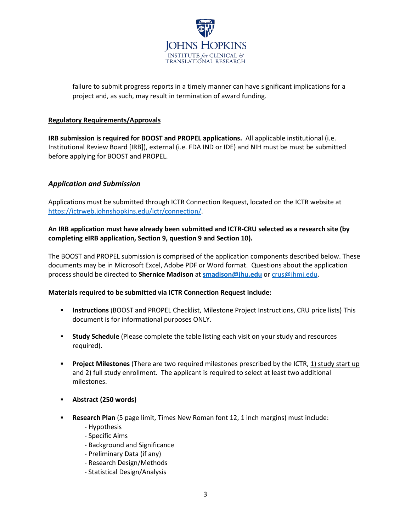

failure to submit progress reports in a timely manner can have significant implications for a project and, as such, may result in termination of award funding.

#### **Regulatory Requirements/Approvals**

**IRB submission is required for BOOST and PROPEL applications.** All applicable institutional (i.e. Institutional Review Board [IRB]), external (i.e. FDA IND or IDE) and NIH must be must be submitted before applying for BOOST and PROPEL.

## *Application and Submission*

Applications must be submitted through ICTR Connection Request, located on the ICTR website at [https://ictrweb.johnshopkins.edu/ictr/connection/.](https://ictrweb.johnshopkins.edu/ictr/connection/)

#### **An IRB application must have already been submitted and ICTR-CRU selected as a research site (by completing eIRB application, Section 9, question 9 and Section 10).**

The BOOST and PROPEL submission is comprised of the application components described below. These documents may be in Microsoft Excel, Adobe PDF or Word format. Questions about the application process should be directed to **Shernice Madison** at **[smadison@jhu.edu](mailto:smadison@jhu.edu)** or [crus@jhmi.edu.](mailto:crus@jhmi.edu)

#### **Materials required to be submitted via ICTR Connection Request include:**

- **Instructions** (BOOST and PROPEL Checklist, Milestone Project Instructions, CRU price lists) This document is for informational purposes ONLY.
- **Study Schedule** (Please complete the table listing each visit on your study and resources required).
- **Project Milestones** (There are two required milestones prescribed by the ICTR, 1) study start up and 2) full study enrollment. The applicant is required to select at least two additional milestones.
- **Abstract (250 words)**
- **Research Plan** (5 page limit, Times New Roman font 12, 1 inch margins) must include:
	- Hypothesis
	- Specific Aims
	- Background and Significance
	- Preliminary Data (if any)
	- Research Design/Methods
	- Statistical Design/Analysis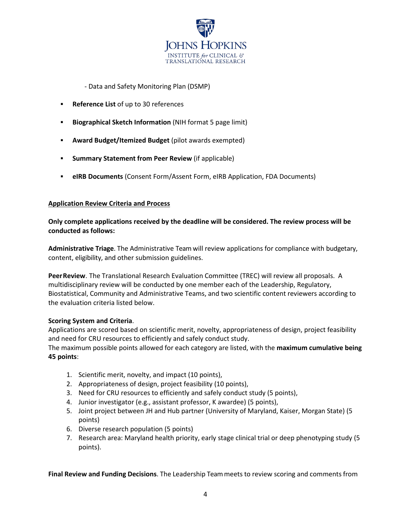

- Data and Safety Monitoring Plan (DSMP)

- **Reference List** of up to 30 references
- **Biographical Sketch Information** (NIH format 5 page limit)
- **Award Budget/Itemized Budget** (pilot awards exempted)
- **Summary Statement from Peer Review** (if applicable)
- **eIRB Documents** (Consent Form/Assent Form, eIRB Application, FDA Documents)

#### **Application Review Criteria and Process**

#### **Only complete applications received by the deadline will be considered. The review process will be conducted as follows:**

**Administrative Triage**. The Administrative Team will review applications for compliance with budgetary, content, eligibility, and other submission guidelines.

**PeerReview**. The Translational Research Evaluation Committee (TREC) will review all proposals. A multidisciplinary review will be conducted by one member each of the Leadership, Regulatory, Biostatistical, Community and Administrative Teams, and two scientific content reviewers according to the evaluation criteria listed below.

#### **Scoring System and Criteria**.

Applications are scored based on scientific merit, novelty, appropriateness of design, project feasibility and need for CRU resources to efficiently and safely conduct study.

The maximum possible points allowed for each category are listed, with the **maximum cumulative being 45 points**:

- 1. Scientific merit, novelty, and impact (10 points),
- 2. Appropriateness of design, project feasibility (10 points),
- 3. Need for CRU resources to efficiently and safely conduct study (5 points),
- 4. Junior investigator (e.g., assistant professor, K awardee) (5 points),
- 5. Joint project between JH and Hub partner (University of Maryland, Kaiser, Morgan State) (5 points)
- 6. Diverse research population (5 points)
- 7. Research area: Maryland health priority, early stage clinical trial or deep phenotyping study (5 points).

**Final Review and Funding Decisions**. The Leadership Team meets to review scoring and comments from